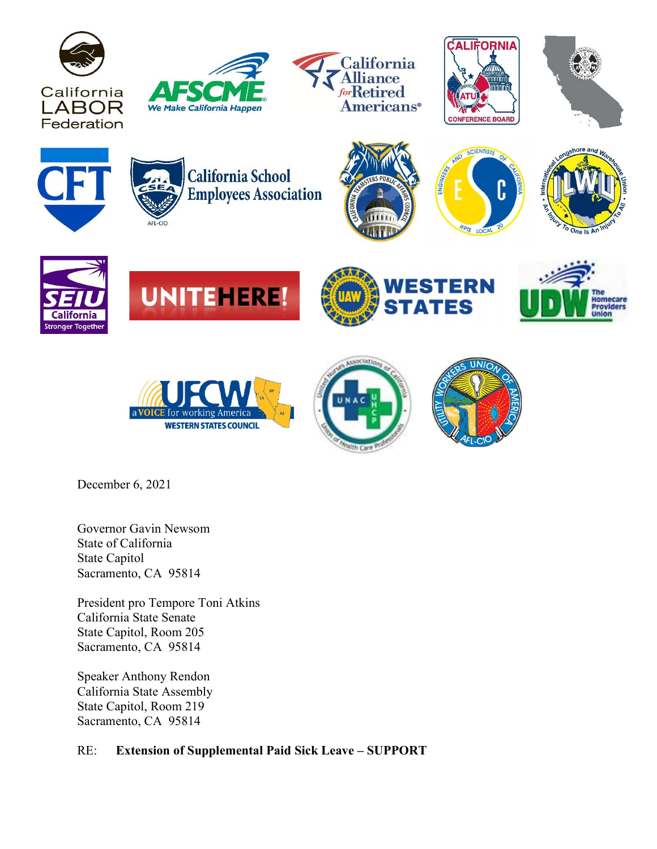































December 6, 2021

Governor Gavin Newsom State of California State Capitol Sacramento, CA 95814

President pro Tempore Toni Atkins California State Senate State Capitol, Room 205 Sacramento, CA 95814

Speaker Anthony Rendon California State Assembly State Capitol, Room 219 Sacramento, CA 95814

## RE: Extension of Supplemental Paid Sick Leave – SUPPORT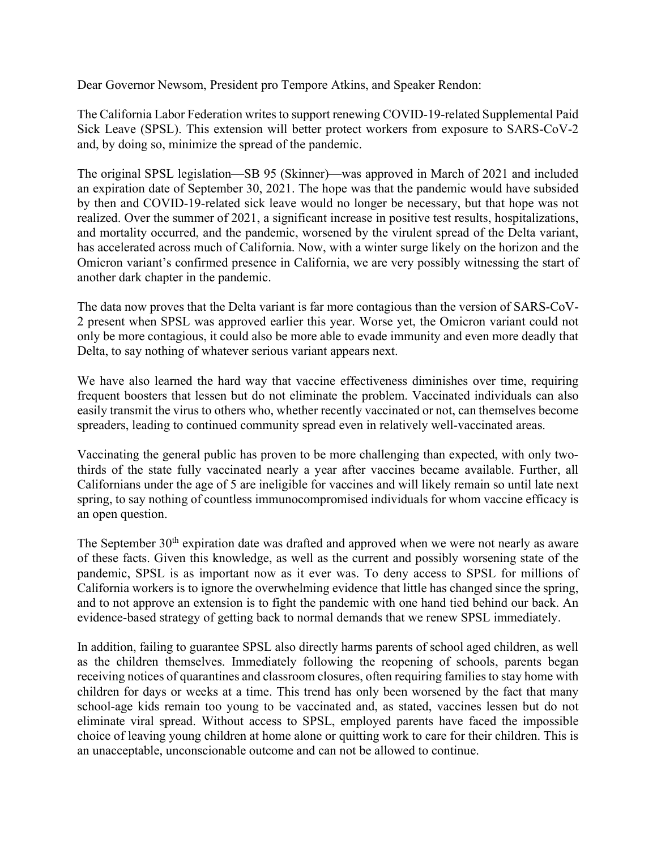Dear Governor Newsom, President pro Tempore Atkins, and Speaker Rendon:

The California Labor Federation writes to support renewing COVID-19-related Supplemental Paid Sick Leave (SPSL). This extension will better protect workers from exposure to SARS-CoV-2 and, by doing so, minimize the spread of the pandemic.

The original SPSL legislation—SB 95 (Skinner)—was approved in March of 2021 and included an expiration date of September 30, 2021. The hope was that the pandemic would have subsided by then and COVID-19-related sick leave would no longer be necessary, but that hope was not realized. Over the summer of 2021, a significant increase in positive test results, hospitalizations, and mortality occurred, and the pandemic, worsened by the virulent spread of the Delta variant, has accelerated across much of California. Now, with a winter surge likely on the horizon and the Omicron variant's confirmed presence in California, we are very possibly witnessing the start of another dark chapter in the pandemic.

The data now proves that the Delta variant is far more contagious than the version of SARS-CoV-2 present when SPSL was approved earlier this year. Worse yet, the Omicron variant could not only be more contagious, it could also be more able to evade immunity and even more deadly that Delta, to say nothing of whatever serious variant appears next.

We have also learned the hard way that vaccine effectiveness diminishes over time, requiring frequent boosters that lessen but do not eliminate the problem. Vaccinated individuals can also easily transmit the virus to others who, whether recently vaccinated or not, can themselves become spreaders, leading to continued community spread even in relatively well-vaccinated areas.

Vaccinating the general public has proven to be more challenging than expected, with only twothirds of the state fully vaccinated nearly a year after vaccines became available. Further, all Californians under the age of 5 are ineligible for vaccines and will likely remain so until late next spring, to say nothing of countless immunocompromised individuals for whom vaccine efficacy is an open question.

The September  $30<sup>th</sup>$  expiration date was drafted and approved when we were not nearly as aware of these facts. Given this knowledge, as well as the current and possibly worsening state of the pandemic, SPSL is as important now as it ever was. To deny access to SPSL for millions of California workers is to ignore the overwhelming evidence that little has changed since the spring, and to not approve an extension is to fight the pandemic with one hand tied behind our back. An evidence-based strategy of getting back to normal demands that we renew SPSL immediately.

In addition, failing to guarantee SPSL also directly harms parents of school aged children, as well as the children themselves. Immediately following the reopening of schools, parents began receiving notices of quarantines and classroom closures, often requiring families to stay home with children for days or weeks at a time. This trend has only been worsened by the fact that many school-age kids remain too young to be vaccinated and, as stated, vaccines lessen but do not eliminate viral spread. Without access to SPSL, employed parents have faced the impossible choice of leaving young children at home alone or quitting work to care for their children. This is an unacceptable, unconscionable outcome and can not be allowed to continue.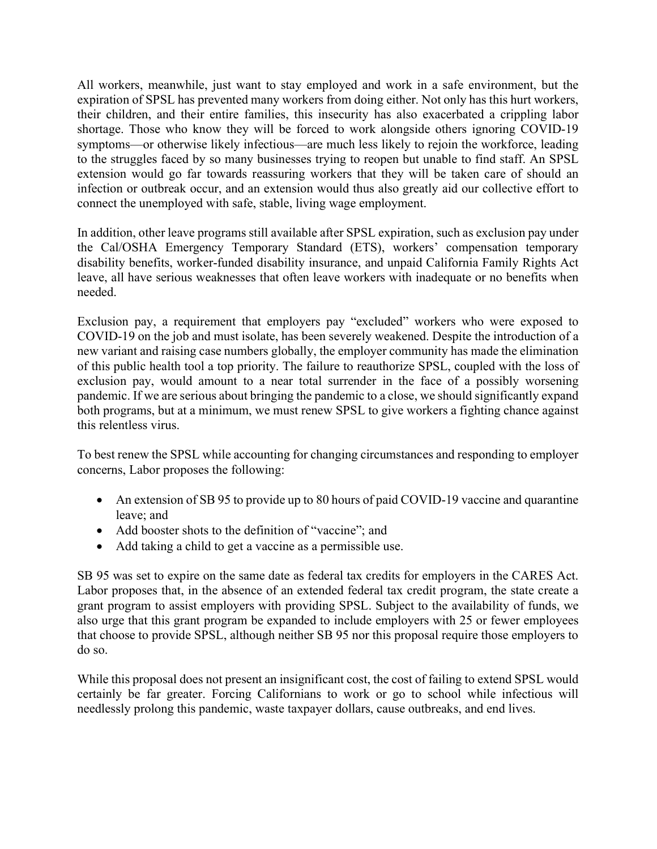All workers, meanwhile, just want to stay employed and work in a safe environment, but the expiration of SPSL has prevented many workers from doing either. Not only has this hurt workers, their children, and their entire families, this insecurity has also exacerbated a crippling labor shortage. Those who know they will be forced to work alongside others ignoring COVID-19 symptoms—or otherwise likely infectious—are much less likely to rejoin the workforce, leading to the struggles faced by so many businesses trying to reopen but unable to find staff. An SPSL extension would go far towards reassuring workers that they will be taken care of should an infection or outbreak occur, and an extension would thus also greatly aid our collective effort to connect the unemployed with safe, stable, living wage employment.

In addition, other leave programs still available after SPSL expiration, such as exclusion pay under the Cal/OSHA Emergency Temporary Standard (ETS), workers' compensation temporary disability benefits, worker-funded disability insurance, and unpaid California Family Rights Act leave, all have serious weaknesses that often leave workers with inadequate or no benefits when needed.

Exclusion pay, a requirement that employers pay "excluded" workers who were exposed to COVID-19 on the job and must isolate, has been severely weakened. Despite the introduction of a new variant and raising case numbers globally, the employer community has made the elimination of this public health tool a top priority. The failure to reauthorize SPSL, coupled with the loss of exclusion pay, would amount to a near total surrender in the face of a possibly worsening pandemic. If we are serious about bringing the pandemic to a close, we should significantly expand both programs, but at a minimum, we must renew SPSL to give workers a fighting chance against this relentless virus.

To best renew the SPSL while accounting for changing circumstances and responding to employer concerns, Labor proposes the following:

- An extension of SB 95 to provide up to 80 hours of paid COVID-19 vaccine and quarantine leave; and
- Add booster shots to the definition of "vaccine"; and
- Add taking a child to get a vaccine as a permissible use.

SB 95 was set to expire on the same date as federal tax credits for employers in the CARES Act. Labor proposes that, in the absence of an extended federal tax credit program, the state create a grant program to assist employers with providing SPSL. Subject to the availability of funds, we also urge that this grant program be expanded to include employers with 25 or fewer employees that choose to provide SPSL, although neither SB 95 nor this proposal require those employers to do so.

While this proposal does not present an insignificant cost, the cost of failing to extend SPSL would certainly be far greater. Forcing Californians to work or go to school while infectious will needlessly prolong this pandemic, waste taxpayer dollars, cause outbreaks, and end lives.